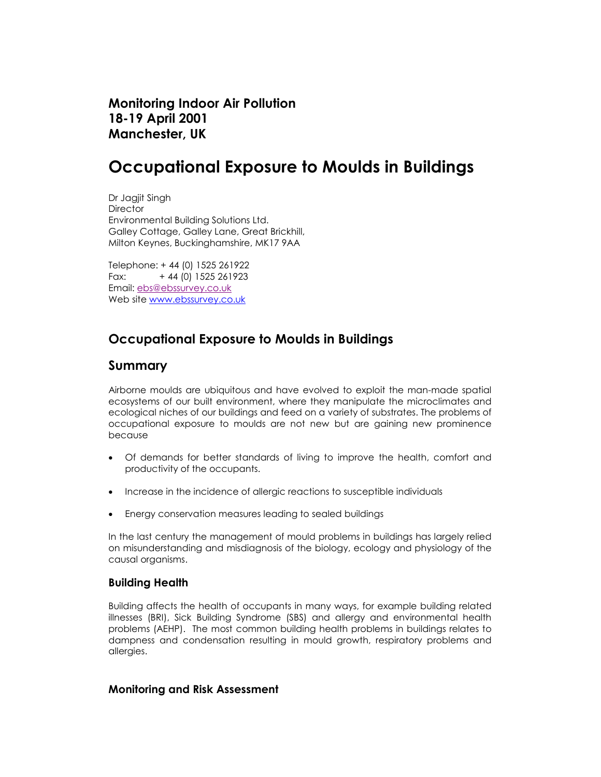Monitoring Indoor Air Pollution 18-19 April 2001 Manchester, UK

# Occupational Exposure to Moulds in Buildings

Dr Jagjit Singh **Director** Environmental Building Solutions Ltd. Galley Cottage, Galley Lane, Great Brickhill, Milton Keynes, Buckinghamshire, MK17 9AA

Telephone: + 44 (0) 1525 261922 Fax: + 44 (0) 1525 261923 Email: ebs@ebssurvey.co.uk Web site www.ebssurvey.co.uk

## Occupational Exposure to Moulds in Buildings

## Summary

Airborne moulds are ubiquitous and have evolved to exploit the man-made spatial ecosystems of our built environment, where they manipulate the microclimates and ecological niches of our buildings and feed on a variety of substrates. The problems of occupational exposure to moulds are not new but are gaining new prominence because

- Of demands for better standards of living to improve the health, comfort and productivity of the occupants.
- Increase in the incidence of allergic reactions to susceptible individuals
- Energy conservation measures leading to sealed buildings

In the last century the management of mould problems in buildings has largely relied on misunderstanding and misdiagnosis of the biology, ecology and physiology of the causal organisms.

## Building Health

Building affects the health of occupants in many ways, for example building related illnesses (BRI), Sick Building Syndrome (SBS) and allergy and environmental health problems (AEHP). The most common building health problems in buildings relates to dampness and condensation resulting in mould growth, respiratory problems and allergies.

## Monitoring and Risk Assessment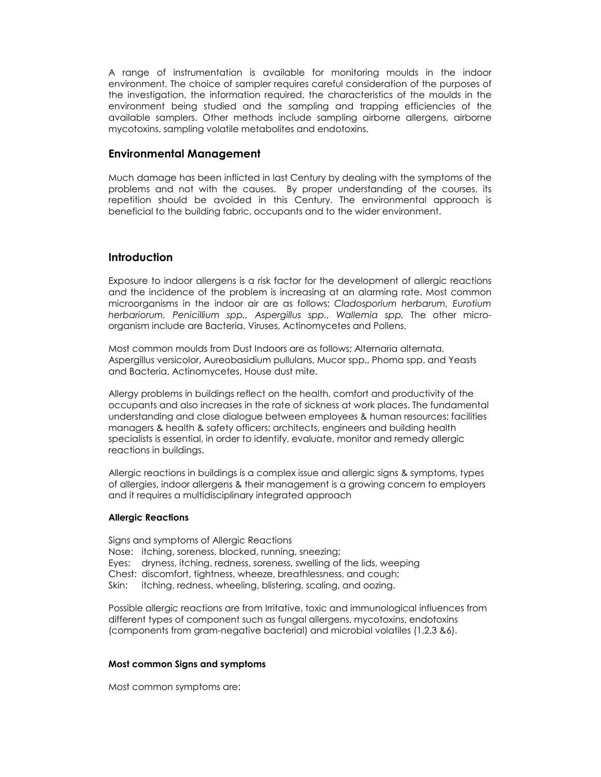A range of instrumentation is available for monitoring moulds in the indoor environment. The choice of sampler requires careful consideration of the purposes of the investigation, the information required, the characteristics of the moulds in the environment being studied and the sampling and trapping efficiencies of the available samplers. Other methods include sampling airborne allergens, airborne mycotoxins, sampling volatile metabolites and endotoxins.

### Environmental Management

Much damage has been inflicted in last Century by dealing with the symptoms of the problems and not with the causes. By proper understanding of the courses, its repetition should be avoided in this Century. The environmental approach is beneficial to the building fabric, occupants and to the wider environment.

#### **Introduction**

Exposure to indoor allergens is a risk factor for the development of allergic reactions and the incidence of the problem is increasing at an alarming rate. Most common microorganisms in the indoor air are as follows; Cladosporium herbarum, Eurotium herbariorum, Penicillium spp., Aspergillus spp., Wallemia spp. The other microorganism include are Bacteria, Viruses, Actinomycetes and Pollens.

Most common moulds from Dust Indoors are as follows; Alternaria alternata, Aspergillus versicolor, Aureobasidium pullulans, Mucor spp., Phoma spp. and Yeasts and Bacteria, Actinomycetes, House dust mite.

Allergy problems in buildings reflect on the health, comfort and productivity of the occupants and also increases in the rate of sickness at work places. The fundamental understanding and close dialogue between employees & human resources; facilities managers & health & safety officers; architects, engineers and building health specialists is essential, in order to identify, evaluate, monitor and remedy allergic reactions in buildings.

Allergic reactions in buildings is a complex issue and allergic signs & symptoms, types of allergies, indoor allergens & their management is a growing concern to employers and it requires a multidisciplinary integrated approach

#### Allergic Reactions

Signs and symptoms of Allergic Reactions Nose: itching, soreness, blocked, running, sneezing; Eyes: dryness, itching, redness, soreness, swelling of the lids, weeping Chest: discomfort, tightness, wheeze, breathlessness, and cough; Skin: itching, redness, wheeling, blistering, scaling, and oozing.

Possible allergic reactions are from Irritative, toxic and immunological influences from different types of component such as fungal allergens, mycotoxins, endotoxins (components from gram-negative bacterial) and microbial volatiles (1,2,3 &6).

#### Most common Signs and symptoms

Most common symptoms are: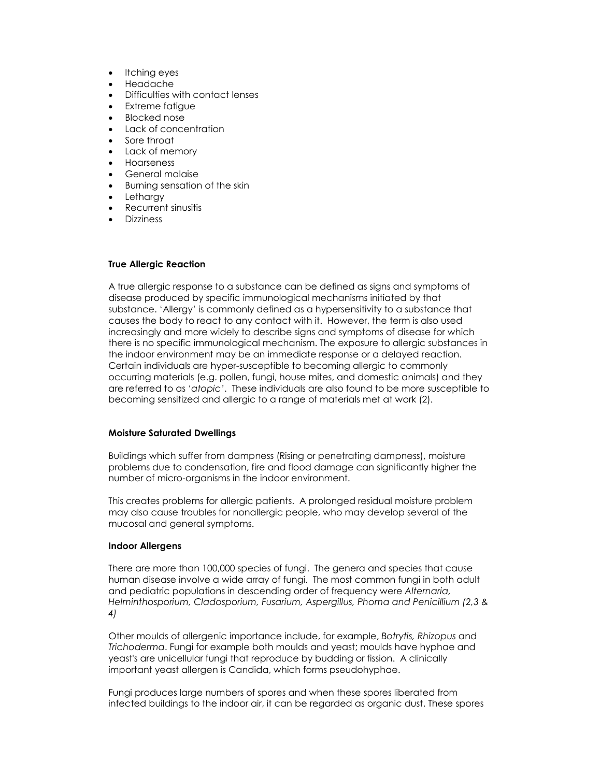- Itching eyes
- Headache
- Difficulties with contact lenses
- Extreme fatigue
- Blocked nose
- Lack of concentration
- Sore throat
- Lack of memory
- Hoarseness
- General malaise
- Burning sensation of the skin
- **Letharav**
- Recurrent sinusitis
- Dizziness

#### True Allergic Reaction

A true allergic response to a substance can be defined as signs and symptoms of disease produced by specific immunological mechanisms initiated by that substance. 'Allergy' is commonly defined as a hypersensitivity to a substance that causes the body to react to any contact with it. However, the term is also used increasingly and more widely to describe signs and symptoms of disease for which there is no specific immunological mechanism. The exposure to allergic substances in the indoor environment may be an immediate response or a delayed reaction. Certain individuals are hyper-susceptible to becoming allergic to commonly occurring materials (e.g. pollen, fungi, house mites, and domestic animals) and they are referred to as 'atopic'. These individuals are also found to be more susceptible to becoming sensitized and allergic to a range of materials met at work (2).

#### Moisture Saturated Dwellings

Buildings which suffer from dampness (Rising or penetrating dampness), moisture problems due to condensation, fire and flood damage can significantly higher the number of micro-organisms in the indoor environment.

This creates problems for allergic patients. A prolonged residual moisture problem may also cause troubles for nonallergic people, who may develop several of the mucosal and general symptoms.

#### Indoor Allergens

There are more than 100,000 species of fungi. The genera and species that cause human disease involve a wide array of fungi. The most common fungi in both adult and pediatric populations in descending order of frequency were Alternaria, Helminthosporium, Cladosporium, Fusarium, Aspergillus, Phoma and Penicillium (2,3 & 4)

Other moulds of allergenic importance include, for example, Botrytis, Rhizopus and Trichoderma. Fungi for example both moulds and yeast; moulds have hyphae and yeast's are unicellular fungi that reproduce by budding or fission. A clinically important yeast allergen is Candida, which forms pseudohyphae.

Fungi produces large numbers of spores and when these spores liberated from infected buildings to the indoor air, it can be regarded as organic dust. These spores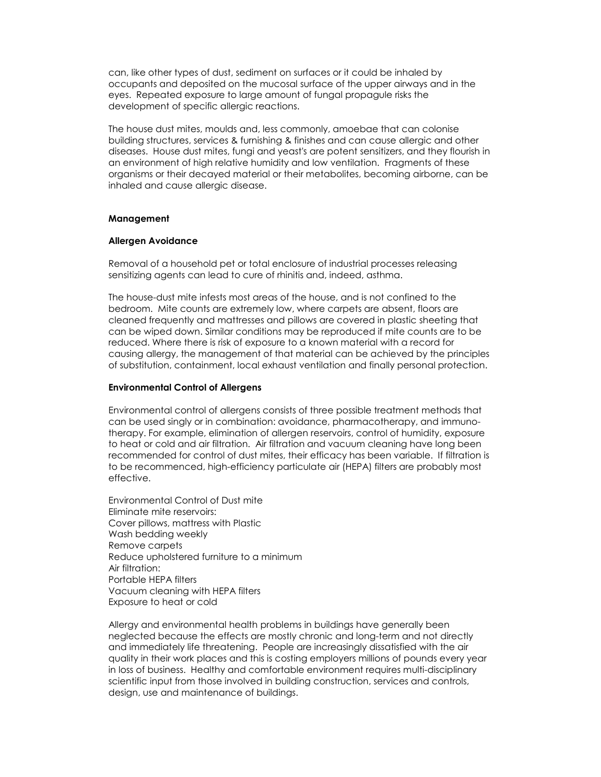can, like other types of dust, sediment on surfaces or it could be inhaled by occupants and deposited on the mucosal surface of the upper airways and in the eyes. Repeated exposure to large amount of fungal propagule risks the development of specific allergic reactions.

The house dust mites, moulds and, less commonly, amoebae that can colonise building structures, services & furnishing & finishes and can cause allergic and other diseases. House dust mites, fungi and yeast's are potent sensitizers, and they flourish in an environment of high relative humidity and low ventilation. Fragments of these organisms or their decayed material or their metabolites, becoming airborne, can be inhaled and cause allergic disease.

#### Management

#### Allergen Avoidance

Removal of a household pet or total enclosure of industrial processes releasing sensitizing agents can lead to cure of rhinitis and, indeed, asthma.

The house-dust mite infests most areas of the house, and is not confined to the bedroom. Mite counts are extremely low, where carpets are absent, floors are cleaned frequently and mattresses and pillows are covered in plastic sheeting that can be wiped down. Similar conditions may be reproduced if mite counts are to be reduced. Where there is risk of exposure to a known material with a record for causing allergy, the management of that material can be achieved by the principles of substitution, containment, local exhaust ventilation and finally personal protection.

#### Environmental Control of Allergens

Environmental control of allergens consists of three possible treatment methods that can be used singly or in combination: avoidance, pharmacotherapy, and immunotherapy. For example, elimination of allergen reservoirs, control of humidity, exposure to heat or cold and air filtration. Air filtration and vacuum cleaning have long been recommended for control of dust mites, their efficacy has been variable. If filtration is to be recommenced, high-efficiency particulate air (HEPA) filters are probably most effective.

Environmental Control of Dust mite Eliminate mite reservoirs: Cover pillows, mattress with Plastic Wash bedding weekly Remove carpets Reduce upholstered furniture to a minimum Air filtration: Portable HEPA filters Vacuum cleaning with HEPA filters Exposure to heat or cold

Allergy and environmental health problems in buildings have generally been neglected because the effects are mostly chronic and long-term and not directly and immediately life threatening. People are increasingly dissatisfied with the air quality in their work places and this is costing employers millions of pounds every year in loss of business. Healthy and comfortable environment requires multi-disciplinary scientific input from those involved in building construction, services and controls, design, use and maintenance of buildings.